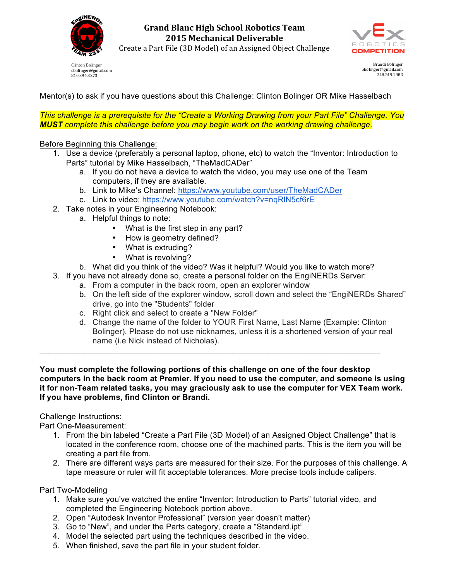

**Grand Blanc High School Robotics Team 2015 Mechanical Deliverable**



Create a Part File (3D Model) of an Assigned Object Challenge

Clinton Bolinger cbolinger@gmail.com 810.394.3273

Brandi Bolinger bbolinger@gmail.com 248.249.1983

Mentor(s) to ask if you have questions about this Challenge: Clinton Bolinger OR Mike Hasselbach

*This challenge is a prerequisite for the "Create a Working Drawing from your Part File" Challenge. You MUST complete this challenge before you may begin work on the working drawing challenge.*

Before Beginning this Challenge:

- 1. Use a device (preferably a personal laptop, phone, etc) to watch the "Inventor: Introduction to Parts" tutorial by Mike Hasselbach, "TheMadCADer"
	- a. If you do not have a device to watch the video, you may use one of the Team computers, if they are available.
	- b. Link to Mike's Channel: https://www.youtube.com/user/TheMadCADer
	- c. Link to video: https://www.youtube.com/watch?v=nqRlN5cf6rE
- 2. Take notes in your Engineering Notebook:
	- a. Helpful things to note:
		- What is the first step in any part?
		- How is geometry defined?
		- What is extruding?
		- What is revolving?
	- b. What did you think of the video? Was it helpful? Would you like to watch more?
- 3. If you have not already done so, create a personal folder on the EngiNERDs Server:

\_\_\_\_\_\_\_\_\_\_\_\_\_\_\_\_\_\_\_\_\_\_\_\_\_\_\_\_\_\_\_\_\_\_\_\_\_\_\_\_\_\_\_\_\_\_\_\_\_\_\_\_\_\_\_\_\_\_\_\_\_\_\_\_\_\_\_\_\_\_\_\_\_\_\_\_

- a. From a computer in the back room, open an explorer window
	- b. On the left side of the explorer window, scroll down and select the "EngiNERDs Shared" drive, go into the "Students" folder
	- c. Right click and select to create a "New Folder"
	- d. Change the name of the folder to YOUR First Name, Last Name (Example: Clinton Bolinger). Please do not use nicknames, unless it is a shortened version of your real name (i.e Nick instead of Nicholas).

**You must complete the following portions of this challenge on one of the four desktop computers in the back room at Premier. If you need to use the computer, and someone is using it for non-Team related tasks, you may graciously ask to use the computer for VEX Team work. If you have problems, find Clinton or Brandi.**

## Challenge Instructions:

Part One-Measurement:

- 1. From the bin labeled "Create a Part File (3D Model) of an Assigned Object Challenge" that is located in the conference room, choose one of the machined parts. This is the item you will be creating a part file from.
- 2. There are different ways parts are measured for their size. For the purposes of this challenge. A tape measure or ruler will fit acceptable tolerances. More precise tools include calipers.

Part Two-Modeling

- 1. Make sure you've watched the entire "Inventor: Introduction to Parts" tutorial video, and completed the Engineering Notebook portion above.
- 2. Open "Autodesk Inventor Professional" (version year doesn't matter)
- 3. Go to "New", and under the Parts category, create a "Standard.ipt"
- 4. Model the selected part using the techniques described in the video.
- 5. When finished, save the part file in your student folder.